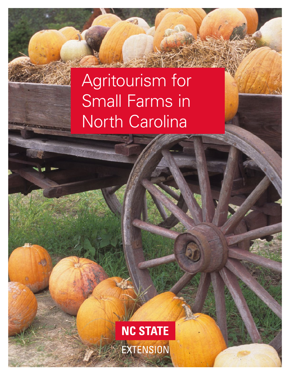# Agritourism for Small Farms in North Carolina

**NC STATE** EXTENSION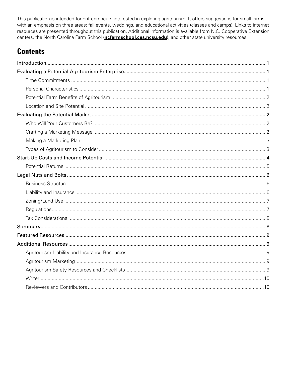This publication is intended for entrepreneurs interested in exploring agritourism. It offers suggestions for small farms with an emphasis on three areas: fall events, weddings, and educational activities (classes and camps). Links to internet resources are presented throughout this publication. Additional information is available from N.C. Cooperative Extension centers, the North Carolina Farm School (**[ncfarmschool.ces.ncsu.edu](https://ncfarmschool.ces.ncsu.edu/)**), and other state university resources.

# **Contents**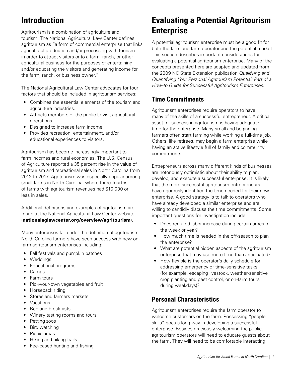# <span id="page-2-0"></span>**Introduction**

Agritourism is a combination of agriculture and tourism. The National Agricultural Law Center defines agritourism as "a form of commercial enterprise that links agricultural production and/or processing with tourism in order to attract visitors onto a farm, ranch, or other agricultural business for the purposes of entertaining and/or educating the visitors and generating income for the farm, ranch, or business owner."

The National Agricultural Law Center advocates for four factors that should be included in agritourism services:

- Combines the essential elements of the tourism and agriculture industries.
- Attracts members of the public to visit agricultural operations.
- Designed to increase farm income.
- Provides recreation, entertainment, and/or educational experiences to visitors.

Agritourism has become increasingly important to farm incomes and rural economies. The U.S. Census of Agriculture reported a 35 percent rise in the value of agritourism and recreational sales in North Carolina from 2012 to 2017. Agritourism was especially popular among small farms in North Carolina, where three-fourths of farms with agritourism revenues had \$10,000 or less in sales.

Additional definitions and examples of agritourism are found at the National Agricultural Law Center website (**[nationalaglawcenter.org/overview/agritourism](https://nationalaglawcenter.org/overview/agritourism/)**).

Many enterprises fall under the definition of agritourism. North Carolina farmers have seen success with new onfarm agritourism enterprises including:

- Fall festivals and pumpkin patches
- Weddings
- Educational programs
- Camps
- Farm tours
- Pick-your-own vegetables and fruit
- Horseback riding
- Stores and farmers markets
- Vacations
- Bed and breakfasts
- Winery tasting rooms and tours
- Petting zoos
- Bird watching
- Picnic areas
- Hiking and biking trails
- Fee-based hunting and fishing

# **Evaluating a Potential Agritourism Enterprise**

A potential agritourism enterprise must be a good fit for both the farm and farm operator and the potential market. This section describes important considerations for evaluating a potential agritourism enterprise. Many of the concepts presented here are adapted and updated from the 2009 NC State Extension publication *Qualifying and Quantifying Your Personal Agritourism Potential: Part of a How-to Guide for Successful Agritourism Enterprises*.

### **Time Commitments**

Agritourism enterprises require operators to have many of the skills of a successful entrepreneur. A critical asset for success in agritourism is having adequate time for the enterprise. Many small and beginning farmers often start farming while working a full-time job. Others, like retirees, may begin a farm enterprise while having an active lifestyle full of family and community commitments.

Entrepreneurs across many different kinds of businesses are notoriously optimistic about their ability to plan, develop, and execute a successful enterprise. It is likely that the more successful agritourism entrepreneurs have rigorously identified the time needed for their new enterprise. A good strategy is to talk to operators who have already developed a similar enterprise and are willing to candidly discuss the time commitments. Some important questions for investigation include:

- Does required labor increase during certain times of the week or year?
- How much time is needed in the off-season to plan the enterprise?
- What are potential hidden aspects of the agritourism enterprise that may use more time than anticipated?
- How flexible is the operator's daily schedule for addressing emergency or time-sensitive tasks (for example, escaping livestock, weather-sensitive crop planting and pest control, or on-farm tours during weekdays)?

# **Personal Characteristics**

Agritourism enterprises require the farm operator to welcome customers on the farm. Possessing "people skills" goes a long way in developing a successful enterprise. Besides graciously welcoming the public, agritourism operators will need to educate guests about the farm. They will need to be comfortable interacting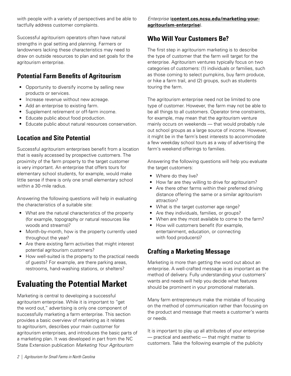<span id="page-3-0"></span>with people with a variety of perspectives and be able to tactfully address customer complaints.

Successful agritourism operators often have natural strengths in goal setting and planning. Farmers or landowners lacking these characteristics may need to draw on outside resources to plan and set goals for the agritourism enterprise.

# **Potential Farm Benefits of Agritourism**

- Opportunity to diversify income by selling new products or services.
- Increase revenue without new acreage.
- Add an enterprise to existing farm.
- Supplement retirement or off-farm income.
- Educate public about food production.
- Educate public about natural resources conservation.

# **Location and Site Potential**

Successful agritourism enterprises benefit from a location that is easily accessed by prospective customers. The proximity of the farm property to the target customer is very important. An enterprise that offers tours for elementary school students, for example, would make little sense if there is only one small elementary school within a 30-mile radius.

Answering the following questions will help in evaluating the characteristics of a suitable site:

- What are the natural characteristics of the property (for example, topography or natural resources like woods and streams)?
- Month-by-month, how is the property currently used throughout the year?
- Are there existing farm activities that might interest potential agritourism customers?
- How well-suited is the property to the practical needs of guests? For example, are there parking areas, restrooms, hand-washing stations, or shelters?

# **Evaluating the Potential Market**

Marketing is central to developing a successful agritourism enterprise. While it is important to "get the word out," advertising is only one component of successfully marketing a farm enterprise. This section provides a basic overview of marketing as it relates to agritourism, describes your main customer for agritourism enterprises, and introduces the basic parts of a marketing plan. It was developed in part from the NC State Extension publication *Marketing Your Agritourism* 

*Enterprise* (**[content.ces.ncsu.edu/marketing-your](https://content.ces.ncsu.edu/marketing-your-agritourism-enterprise)[agritourism-enterprise](https://content.ces.ncsu.edu/marketing-your-agritourism-enterprise)**).

### **Who Will Your Customers Be?**

The first step in agritourism marketing is to describe the type of customer that the farm will target for the enterprise. Agritourism ventures typically focus on two categories of customers: (1) individuals or families, such as those coming to select pumpkins, buy farm produce, or hike a farm trail, and (2) groups, such as students touring the farm.

The agritourism enterprise need not be limited to one type of customer. However, the farm may not be able to be all things to all customers. Operator time constraints, for example, may mean that the agritourism venture mainly occurs on weekends — that would probably rule out school groups as a large source of income. However, it might be in the farm's best interests to accommodate a few weekday school tours as a way of advertising the farm's weekend offerings to families.

Answering the following questions will help you evaluate the target customers:

- Where do they live?
- How far are they willing to drive for agritourism?
- Are there other farms within their preferred driving distance offering the same or a similar agritourism attraction?
- What is the target customer age range?
- Are they individuals, families, or groups?
- When are they most available to come to the farm?
- How will customers benefit (for example, entertainment, education, or connecting with food producers)?

# **Crafting a Marketing Message**

Marketing is more than getting the word out about an enterprise. A well-crafted message is as important as the method of delivery. Fully understanding your customers' wants and needs will help you decide what features should be prominent in your promotional materials.

Many farm entrepreneurs make the mistake of focusing on the method of communication rather than focusing on the product and message that meets a customer's wants or needs.

It is important to play up all attributes of your enterprise — practical and aesthetic — that might matter to customers. Take the following example of the publicity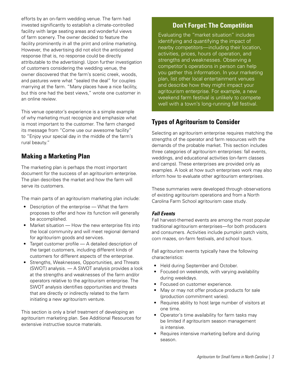<span id="page-4-0"></span>efforts by an on-farm wedding venue. The farm had invested significantly to establish a climate-controlled facility with large seating areas and wonderful views of farm scenery. The owner decided to feature the facility prominently in all the print and online marketing. However, the advertising did not elicit the anticipated response (that is, no response could be directly attributable to the advertising). Upon further investigation of customers considering the wedding venue, the owner discovered that the farm's scenic creek, woods, and pastures were what "sealed the deal" for couples marrying at the farm. "Many places have a nice facility, but this one had the best views," wrote one customer in an online review.

This venue operator's experience is a simple example of why marketing must recognize and emphasize what is most important to the customer. The farm changed its message from "Come use our awesome facility" to "Enjoy your special day in the middle of the farm's rural beauty."

### **Making a Marketing Plan**

The marketing plan is perhaps the most important document for the success of an agritourism enterprise. The plan describes the market and how the farm will serve its customers.

The main parts of an agritourism marketing plan include:

- Description of the enterprise What the farm proposes to offer and how its function will generally be accomplished.
- Market situation How the new enterprise fits into the local community and will meet regional demand for agritourism goods and services.
- Target customer profile A detailed description of the target customers, including different kinds of customers for different aspects of the enterprise.
- Strengths, Weaknesses, Opportunities, and Threats (SWOT) analysis. — A SWOT analysis provides a look at the strengths and weaknesses of the farm and/or operators relative to the agritourism enterprise. The SWOT analysis identifies opportunities and threats that are directly or indirectly related to the farm initiating a new agritourism venture.

This section is only a brief treatment of developing an agritourism marketing plan. See Additional Resources for extensive instructive source materials.

### **Don't Forget: The Competition**

Evaluating the "market situation" includes identifying and quantifying the impact of nearby competitors—including their location, activities, prices, hours of operation, and strengths and weaknesses. Observing a competitor's operations in person can help you gather this information. In your marketing plan, list other local entertainment venues and describe how they might impact your agritourism enterprise. For example, a new weekend farm festival is unlikely to compete well with a town's long-running fall festival.

# **Types of Agritourism to Consider**

Selecting an agritourism enterprise requires matching the strengths of the operator and farm resources with the demands of the probable market. This section includes three categories of agritourism enterprises: fall events, weddings, and educational activities (on-farm classes and camps). These enterprises are provided only as examples. A look at how such enterprises work may also inform how to evaluate other agritourism enterprises.

These summaries were developed through observations of existing agritourism operations and from a North Carolina Farm School agritourism case study.

#### *Fall Events*

Fall harvest-themed events are among the most popular traditional agritourism enterprises—for both producers and consumers. Activities include pumpkin patch visits, corn mazes, on-farm festivals, and school tours.

Fall agritourism events typically have the following characteristics:

- Held during September and October.
- Focused on weekends, with varying availability during weekdays.
- Focused on customer experience.
- May or may not offer produce products for sale (production commitment varies).
- Requires ability to host large number of visitors at one time.
- Operator's time availability for farm tasks may be limited if agritourism season management is intensive.
- Requires intensive marketing before and during season.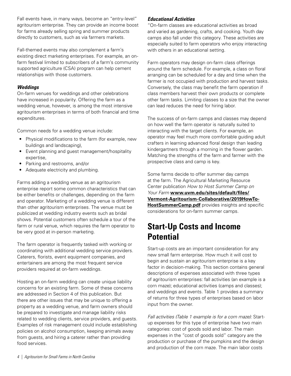<span id="page-5-0"></span>Fall events have, in many ways, become an "entry-level" agritourism enterprise. They can provide an income boost for farms already selling spring and summer products directly to customers, such as via farmers markets.

Fall-themed events may also complement a farm's existing direct marketing enterprises. For example, an onfarm festival limited to subscribers of a farm's community supported agriculture (CSA) program can help cement relationships with those customers.

#### *Weddings*

On-farm venues for weddings and other celebrations have increased in popularity. Offering the farm as a wedding venue, however, is among the most intensive agritourism enterprises in terms of both financial and time expenditures.

Common needs for a wedding venue include:

- Physical modifications to the farm (for example, new buildings and landscaping),
- Event planning and guest management/hospitality expertise,
- Parking and restrooms, and/or
- Adequate electricity and plumbing.

Farms adding a wedding venue as an agritourism enterprise report some common characteristics that can be either benefits or challenges, depending on the farm and operator. Marketing of a wedding venue is different than other agritourism enterprises. The venue must be publicized at wedding industry events such as bridal shows. Potential customers often schedule a tour of the farm or rural venue, which requires the farm operator to be very good at in-person marketing.

The farm operator is frequently tasked with working or coordinating with additional wedding service providers. Caterers, florists, event equipment companies, and entertainers are among the most frequent service providers required at on-farm weddings.

Hosting an on-farm wedding can create unique liability concerns for an existing farm. Some of these concerns are addressed in Section 4 of this publication. But there are other issues that may be unique to offering a property as a wedding venue, and farm owners should be prepared to investigate and manage liability risks related to wedding clients, service providers, and guests. Examples of risk management could include establishing policies on alcohol consumption, keeping animals away from guests, and hiring a caterer rather than providing food services.

#### *Educational Activities*

"On-farm classes are educational activities as broad and varied as gardening, crafts, and cooking. Youth day camps also fall under this category. These activities are especially suited to farm operators who enjoy interacting with others in an educational setting.

Farm operators may design on-farm class offerings around the farm schedule. For example, a class on floral arranging can be scheduled for a day and time when the farmer is not occupied with production and harvest tasks. Conversely, the class may benefit the farm operation if class members harvest their own products or complete other farm tasks. Limiting classes to a size that the owner can lead reduces the need for hiring labor.

The success of on-farm camps and classes may depend on how well the farm operator is naturally suited to interacting with the target clients. For example, an operator may feel much more comfortable guiding adult crafters in learning advanced floral design than leading kindergartners through a morning in the flower garden. Matching the strengths of the farm and farmer with the prospective class and camp is key.

Some farms decide to offer summer day camps at the farm. The Agricultural Marketing Resource Center publication *How to Host Summer Camp on Your Farm* **[www.uvm.edu/sites/default/files/](https://www.uvm.edu/sites/default/files/Vermont-Agritourism-Collaborative/2019HowTo-HostSummerCamp.pdf) [Vermont-Agritourism-Collaborative/2019HowTo-](https://www.uvm.edu/sites/default/files/Vermont-Agritourism-Collaborative/2019HowTo-HostSummerCamp.pdf)[HostSummerCamp.pdf](https://www.uvm.edu/sites/default/files/Vermont-Agritourism-Collaborative/2019HowTo-HostSummerCamp.pdf)** provides insights and specific considerations for on-farm summer camps.

# **Start-Up Costs and Income Potential**

Start-up costs are an important consideration for any new small farm enterprise. How much it will cost to begin and sustain an agritourism enterprise is a key factor in decision-making. This section contains general descriptions of expenses associated with three types of agritourism enterprises: fall activities (an example is a corn maze); educational activities (camps and classes); and weddings and events. Table 1 provides a summary of returns for three types of enterprises based on labor input from the owner.

*Fall activities (Table 1 example is for a corn maze):* Startup expenses for this type of enterprise have two main categories: cost of goods sold and labor. The main expenses in the "cost of goods sold" category are the production or purchase of the pumpkins and the design and production of the corn maze. The main labor costs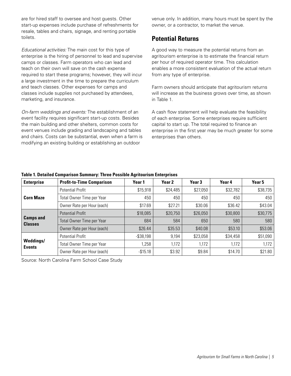<span id="page-6-0"></span>are for hired staff to oversee and host guests. Other start-up expenses include purchase of refreshments for resale, tables and chairs, signage, and renting portable toilets.

*Educational activities:* The main cost for this type of enterprise is the hiring of personnel to lead and supervise camps or classes. Farm operators who can lead and teach on their own will save on the cash expense required to start these programs; however, they will incur a large investment in the time to prepare the curriculum and teach classes. Other expenses for camps and classes include supplies not purchased by attendees, marketing, and insurance.

*On-farm weddings and events:* The establishment of an event facility requires significant start-up costs. Besides the main building and other shelters, common costs for event venues include grading and landscaping and tables and chairs. Costs can be substantial, even when a farm is modifying an existing building or establishing an outdoor

venue only. In addition, many hours must be spent by the owner, or a contractor, to market the venue.

### **Potential Returns**

A good way to measure the potential returns from an agritourism enterprise is to estimate the financial return per hour of required operator time. This calculation enables a more consistent evaluation of the actual return from any type of enterprise.

Farm owners should anticipate that agritourism returns will increase as the business grows over time, as shown in Table 1.

A cash flow statement will help evaluate the feasibility of each enterprise. Some enterprises require sufficient capital to start up. The total required to finance an enterprise in the first year may be much greater for some enterprises than others.

| <b>Enterprise</b>                  | <b>Profit-to-Time Comparison</b> | Year 1       | Year 2   | Year <sub>3</sub> | Year 4   | Year 5   |
|------------------------------------|----------------------------------|--------------|----------|-------------------|----------|----------|
| <b>Corn Maze</b>                   | <b>Potential Profit</b>          | \$15,918     | \$24,485 | \$27,050          | \$32,782 | \$38,735 |
|                                    | Total Owner Time per Year        | 450          | 450      | 450               | 450      | 450      |
|                                    | Owner Rate per Hour (each)       | \$17.69      | \$27.21  | \$30.06           | \$36.42  | \$43.04  |
| <b>Camps and</b><br><b>Classes</b> | <b>Potential Profit</b>          | \$18,085     | \$20,750 | \$26,050          | \$30,800 | \$30,775 |
|                                    | Total Owner Time per Year        | 684          | 584      | 650               | 580      | 580      |
|                                    | Owner Rate per Hour (each)       | \$26.44      | \$35.53  | \$40.08           | \$53.10  | \$53.06  |
| Weddings/<br><b>Events</b>         | <b>Potential Profit</b>          | $-$ \$38,198 | 9,194    | \$23,058          | \$34,458 | \$51,090 |
|                                    | Total Owner Time per Year        | 1,258        | 1,172    | 1,172             | 1,172    | 1,172    |
|                                    | Owner Rate per Hour (each)       | $-$15.18$    | \$3.92   | \$9.84            | \$14.70  | \$21.80  |

#### **Table 1. Detailed Comparison Summary: Three Possible Agritourism Enterprises**

Source: North Carolina Farm School Case Study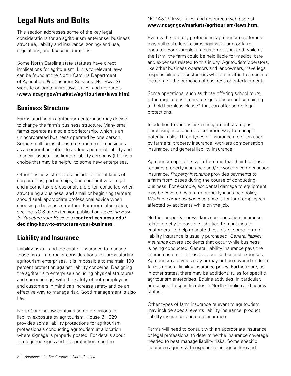# <span id="page-7-0"></span>**Legal Nuts and Bolts**

This section addresses some of the key legal considerations for an agritourism enterprise: business structure, liability and insurance, zoning/land use, regulations, and tax considerations.

Some North Carolina state statutes have direct implications for agritourism. Links to relevant laws can be found at the North Carolina Department of Agriculture & Consumer Services (NCDA&CS) website on agritourism laws, rules, and resources (**[www.ncagr.gov/markets/agritourism/laws.htm](http://www.ncagr.gov/markets/agritourism/laws.htm)**).

# **Business Structure**

Farms starting an agritourism enterprise may decide to change the farm's business structure. Many small farms operate as a sole proprietorship, which is an unincorporated business operated by one person. Some small farms choose to structure the business as a corporation, often to address potential liability and financial issues. The limited liability company (LLC) is a choice that may be helpful to some new enterprises.

Other business structures include different kinds of corporations, partnerships, and cooperatives. Legal and income tax professionals are often consulted when structuring a business, and small or beginning farmers should seek appropriate professional advice when choosing a business structure. For more information, see the NC State Extension publication *Deciding How to Structure your Business* (**[content.ces.ncsu.edu/](https://content.ces.ncsu.edu/deciding-how-to-structure-your-business) [deciding-how-to-structure-your-business](https://content.ces.ncsu.edu/deciding-how-to-structure-your-business)**).

# **Liability and Insurance**

Liability risks—and the cost of insurance to manage those risks—are major considerations for farms starting agritourism enterprises. It is impossible to maintain 100 percent protection against liability concerns. Designing the agritourism enterprise (including physical structures and surroundings) with the safety of both employees and customers in mind can increase safety and be an effective way to manage risk. Good management is also key.

North Carolina law contains some provisions for liability exposure by agritourism. House Bill 329 provides some liability protections for agritourism professionals conducting agritourism at a location where signage is properly posted. For details about the required signs and this protection, see the

#### NCDA&CS laws, rules, and resources web page at **[www.ncagr.gov/markets/agritourism/laws.htm](http://www.ncagr.gov/markets/agritourism/laws.htm)**.

Even with statutory protections, agritourism customers may still make legal claims against a farm or farm operator. For example, if a customer is injured while at the farm, the farm could be held liable for medical care and expenses related to this injury. Agritourism operators, like other business operators and landowners, have legal responsibilities to customers who are invited to a specific location for the purposes of business or entertainment.

Some operations, such as those offering school tours, often require customers to sign a document containing a "hold harmless clause" that can offer some legal protections.

In addition to various risk management strategies, purchasing insurance is a common way to manage potential risks. Three types of insurance are often used by farmers: property insurance, workers compensation insurance, and general liability insurance.

Agritourism operators will often find that their business requires property insurance and/or workers compensation insurance. *Property insurance* provides payments to a farm from losses during the course of conducting business. For example, accidental damage to equipment may be covered by a farm property insurance policy. *Workers compensation insurance* is for farm employees affected by accidents while on the job.

Neither property nor workers compensation insurance relate directly to possible liabilities from injuries to customers. To help mitigate those risks, some form of liability insurance is usually purchased. *General liability insurance* covers accidents that occur while business is being conducted. General liability insurance pays the injured customer for losses, such as hospital expenses. Agritourism activities may or may not be covered under a farm's general liability insurance policy. Furthermore, as in other states, there may be additional rules for specific agritourism enterprises. Equine activities, in particular, are subject to specific rules in North Carolina and nearby states.

Other types of farm insurance relevant to agritourism may include special events liability insurance, product liability insurance, and crop insurance.

Farms will need to consult with an appropriate insurance or legal professional to determine the insurance coverage needed to best manage liability risks. Some specific insurance agents with experience in agriculture and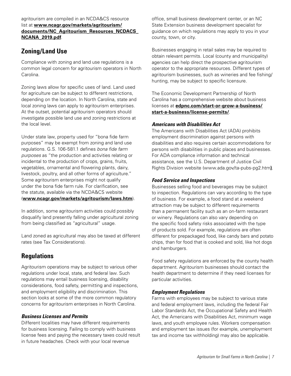#### <span id="page-8-0"></span>agritourism are compiled in an NCDA&CS resource list at **[www.ncagr.gov/markets/agritourism/](http://www.ncagr.gov/markets/agritourism/documents/NC_Agritourism_Resources_NCDACS_NCANA_2019.pdf) [documents/NC\\_Agritourism\\_Resources\\_NCDACS\\_](http://www.ncagr.gov/markets/agritourism/documents/NC_Agritourism_Resources_NCDACS_NCANA_2019.pdf) [NCANA\\_2019.pdf](http://www.ncagr.gov/markets/agritourism/documents/NC_Agritourism_Resources_NCDACS_NCANA_2019.pdf)**.

# **Zoning/Land Use**

Compliance with zoning and land use regulations is a common legal concern for agritourism operators in North Carolina.

Zoning laws allow for specific uses of land. Land used for agriculture can be subject to different restrictions, depending on the location. In North Carolina, state and local zoning laws can apply to agritourism enterprises. At the outset, potential agritourism operators should investigate possible land use and zoning restrictions at the local level.

Under state law, property used for "bona fide farm purposes" may be exempt from zoning and land use regulations. G.S. 106-581.1 defines *bona fide farm purposes* as "the production and activities relating or incidental to the production of crops, grains, fruits, vegetables, ornamental and flowering plants, dairy, livestock, poultry, and all other forms of agriculture." Some agritourism enterprises might not qualify under the bona fide farm rule. For clarification, see the statute, available via the NCDA&CS website (**[www.ncagr.gov/markets/agritourism/laws.htm](http://www.ncagr.gov/markets/agritourism/laws.htm)**).

In addition, some agritourism activities could possibly disqualify land presently falling under agricultural zoning from being classified as "agricultural" usage.

Land zoned as agricultural may also be taxed at different rates (see Tax Considerations).

# **Regulations**

Agritourism operations may be subject to various other regulations under local, state, and federal law. Such regulations may entail business licensing, disability considerations, food safety, permitting and inspections, and employment eligibility and discrimination. This section looks at some of the more common regulatory concerns for agritourism enterprises in North Carolina.

#### *Business Licenses and Permits*

Different localities may have different requirements for business licensing. Failing to comply with business license fees and paying the necessary taxes could result in future headaches. Check with your local revenue

office, small business development center, or an NC State Extension business development specialist for guidance on which regulations may apply to you in your county, town, or city.

Businesses engaging in retail sales may be required to obtain relevant permits. Local (county and municipality) agencies can help direct the prospective agritourism operator to the appropriate resources. Different types of agritourism businesses, such as wineries and fee fishing/ hunting, may be subject to specific licensure.

The Economic Development Partnership of North Carolina has a comprehensive website about business licenses at **[edpnc.com/start-or-grow-a-business/](https://edpnc.com/start-or-grow-a-business/start-a-business/license-permits/) [start-a-business/license-permits/](https://edpnc.com/start-or-grow-a-business/start-a-business/license-permits/)**.

#### *Americans with Disabilities Act*

The Americans with Disabilities Act (ADA) prohibits employment discrimination against persons with disabilities and also requires certain accommodations for persons with disabilities in public places and businesses. For ADA compliance information and technical assistance, see the U.S. Department of Justice Civil Rights Division website [\(www.ada.gov/ta-pubs-pg2.htm](https://www.ada.gov/ta-pubs-pg2.htm)**)**.

#### *Food Service and Inspections*

Businesses selling food and beverages may be subject to inspection. Regulations can vary according to the type of business. For example, a food stand at a weekend attraction may be subject to different requirements than a permanent facility such as an on-farm restaurant or winery. Regulations can also vary depending on the specific food safety risks associated with the type of products sold. For example, regulations are often different for prepackaged food, like candy bars and potato chips, than for food that is cooked and sold, like hot dogs and hamburgers.

Food safety regulations are enforced by the county health department. Agritourism businesses should contact the health department to determine if they need licenses for particular activities.

#### *Employment Regulations*

Farms with employees may be subject to various state and federal employment laws, including the federal Fair Labor Standards Act, the Occupational Safety and Health Act, the Americans with Disabilities Act, minimum wage laws, and youth employee rules. Workers compensation and employment tax issues (for example, unemployment tax and income tax withholding) may also be applicable.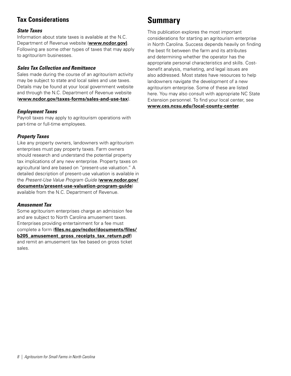# <span id="page-9-0"></span>**Tax Considerations**

#### *State Taxes*

Information about state taxes is available at the N.C. Department of Revenue website (**[www.ncdor.gov](https://www.ncdor.gov/))**. Following are some other types of taxes that may apply to agritourism businesses.

#### *Sales Tax Collection and Remittance*

Sales made during the course of an agritourism activity may be subject to state and local sales and use taxes. Details may be found at your local government website and through the N.C. Department of Revenue website (**[www.ncdor.gov/taxes-forms/sales-and-use-tax](https://www.ncdor.gov/taxes-forms/sales-and-use-tax)**).

#### *Employment Taxes*

Payroll taxes may apply to agritourism operations with part-time or full-time employees.

#### *Property Taxes*

Like any property owners, landowners with agritourism enterprises must pay property taxes. Farm owners should research and understand the potential property tax implications of any new enterprise. Property taxes on agricultural land are based on "present-use valuation." A detailed description of present-use valuation is available in the *Present-Use Value Program Guide* (**[www.ncdor.gov/](https://www.ncdor.gov/documents/present-use-valuation-program-guide) [documents/present-use-valuation-program-guide](https://www.ncdor.gov/documents/present-use-valuation-program-guide)**) available from the N.C. Department of Revenue.

#### *Amusement Tax*

Some agritourism enterprises charge an admission fee and are subject to North Carolina amusement taxes. Enterprises providing entertainment for a fee must complete a form (**[files.nc.gov/ncdor/documents/files/](https://files.nc.gov/ncdor/documents/files/b205_amusement_gross_receipts_tax_return.pdf) [b205\\_amusement\\_gross\\_receipts\\_tax\\_return.pdf](https://files.nc.gov/ncdor/documents/files/b205_amusement_gross_receipts_tax_return.pdf)**) and remit an amusement tax fee based on gross ticket sales.

# **Summary**

This publication explores the most important considerations for starting an agritourism enterprise in North Carolina. Success depends heavily on finding the best fit between the farm and its attributes and determining whether the operator has the appropriate personal characteristics and skills. Costbenefit analysis, marketing, and legal issues are also addressed. Most states have resources to help landowners navigate the development of a new agritourism enterprise. Some of these are listed here. You may also consult with appropriate NC State Extension personnel. To find your local center, see

**[www.ces.ncsu.edu/local-county-center](https://www.ces.ncsu.edu/local-county-center/)**.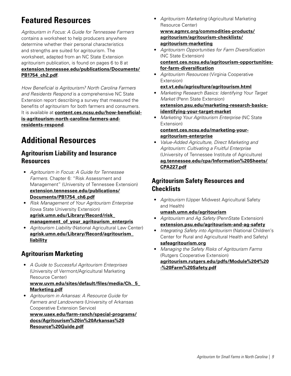# <span id="page-10-0"></span>**Featured Resources**

*Agritourism in Focus: A Guide for Tennessee Farmers* contains a worksheet to help producers anywhere determine whether their personal characteristics and strengths are suited for agritourism. The worksheet, adapted from an NC State Extension agritourism publication, is found on pages 6 to 8 at **[extension.tennessee.edu/publications/Documents/](https://extension.tennessee.edu/publications/Documents/PB1754_ch2.pdf) [PB1754\\_ch2.pdf](https://extension.tennessee.edu/publications/Documents/PB1754_ch2.pdf)**.

*How Beneficial is Agritourism? North Carolina Farmers and Residents Respond* is a comprehensive NC State Extension report describing a survey that measured the benefits of agritourism for both farmers and consumers. It is available at **[content.ces.ncsu.edu/how-beneficial](https://content.ces.ncsu.edu/how-beneficial-is-agritourism-north-carolina-farmers-and-residents-respond)[is-agritourism-north-carolina-farmers-and](https://content.ces.ncsu.edu/how-beneficial-is-agritourism-north-carolina-farmers-and-residents-respond)[residents-respond](https://content.ces.ncsu.edu/how-beneficial-is-agritourism-north-carolina-farmers-and-residents-respond)**.

# **Additional Resources**

# **Agritourism Liability and Insurance Resources**

- *Agritourism in Focus: A Guide for Tennessee Farmers*. Chapter 6: "Risk Assessment and Management" (University of Tennessee Extension) **[extension.tennessee.edu/publications/](https://extension.tennessee.edu/publications/Documents/PB1754_ch6.pdf) [Documents/PB1754\\_ch6.pdf](https://extension.tennessee.edu/publications/Documents/PB1754_ch6.pdf)**
- *Risk Management of Your Agritourism Enterprise* (Iowa State University Extension) **[agrisk.umn.edu/Library/Record/risk\\_](https://agrisk.umn.edu/Library/Record/risk_management_of_your_agritourism_enterpris) [management\\_of\\_your\\_agritourism\\_enterpris](https://agrisk.umn.edu/Library/Record/risk_management_of_your_agritourism_enterpris)**
- *Agritourism Liability* (National Agricultural Law Center) **[agrisk.umn.edu/Library/Record/agritourism\\_](https://agrisk.umn.edu/Library/Record/agritourism_liability) [liability](https://agrisk.umn.edu/Library/Record/agritourism_liability)**

# **Agritourism Marketing**

• *A Guide to Successful Agritourism Enterprises* (University of Vermont/Agricultural Marketing Resource Center)

#### **[www.uvm.edu/sites/default/files/media/Ch.\\_5\\_](https://www.uvm.edu/sites/default/files/media/Ch._5_Marketing.pdf) [Marketing.pdf](https://www.uvm.edu/sites/default/files/media/Ch._5_Marketing.pdf)**

• *Agritourism in Arkansas: A Resource Guide for Farmers and Landowners* (University of Arkansas Cooperative Extension Service)

**[www.uaex.edu/farm-ranch/special-programs/](https://www.uaex.edu/farm-ranch/special-programs/docs/Agritourism%20in%20Arkansas%20Resource%20Guide.pdf) [docs/Agritourism%20in%20Arkansas%20](https://www.uaex.edu/farm-ranch/special-programs/docs/Agritourism%20in%20Arkansas%20Resource%20Guide.pdf) [Resource%20Guide.pdf](https://www.uaex.edu/farm-ranch/special-programs/docs/Agritourism%20in%20Arkansas%20Resource%20Guide.pdf)**

• *Agritourism Marketing* (Agricultural Marketing Resource Center)

**[www.agmrc.org/commodities-products/](https://www.agmrc.org/commodities-products/agritourism/agritourism-checklists/agritourism-marketing) [agritourism/agritourism-checklists/](https://www.agmrc.org/commodities-products/agritourism/agritourism-checklists/agritourism-marketing) [agritourism-marketing](https://www.agmrc.org/commodities-products/agritourism/agritourism-checklists/agritourism-marketing)**

- *Agritourism Opportunities for Farm Diversification* (NC State Extension) **[content.ces.ncsu.edu/agritourism-opportunities](https://content.ces.ncsu.edu/agritourism-opportunities-for-farm-diversification)[for-farm-diversification](https://content.ces.ncsu.edu/agritourism-opportunities-for-farm-diversification)**
- *Agritourism Resources* (Virginia Cooperative Extension)

```
ext.vt.edu/agriculture/agritourism.html
```
- *Marketing Research Basics: Identifying Your Target Market* (Penn State Extension) **[extension.psu.edu/marketing-research-basics](https://extension.psu.edu/marketing-research-basics-identifying-your-target-market)[identifying-your-target-market](https://extension.psu.edu/marketing-research-basics-identifying-your-target-market)**
- *Marketing Your Agritourism Enterprise* (NC State Extension)

#### **[content.ces.ncsu.edu/marketing-your](https://content.ces.ncsu.edu/marketing-your-agritourism-enterprise)[agritourism-enterprise](https://content.ces.ncsu.edu/marketing-your-agritourism-enterprise)**

• *Value-Added Agriculture, Direct Marketing and Agritourism: Cultivating a Fruitful Enterprise* (University of Tennessee Institute of Agriculture) **[ag.tennessee.edu/cpa/Information%20Sheets/](https://ag.tennessee.edu/cpa/Information%20Sheets/CPA227.pdf) [CPA227.pdf](https://ag.tennessee.edu/cpa/Information%20Sheets/CPA227.pdf)**

### **Agritourism Safety Resources and Checklists**

• *Agritourism* (Upper Midwest Agricultural Safety and Health)

#### **[umash.umn.edu/agritourism](http://umash.umn.edu/agritourism/)**

- *Agritourism and Ag Safety* (PennState Extension) **[extension.psu.edu/agritourism-and-ag-safety](https://extension.psu.edu/agritourism-and-ag-safety)**
- *Integrating Safety into Agritourism* (National Children's Center for Rural and Agricultural Health and Safety) **[safeagritourism.org](https://safeagritourism.org/)**
- *Managing the Safety Risks of Agritourism Farms*  (Rutgers Cooperative Extension) **[agritourism.rutgers.edu/pdfs/Module%204%20](http://agritourism.rutgers.edu/pdfs/Module%204%20-%20Farm%20Safety.pdf) [-%20Farm%20Safety.pdf](http://agritourism.rutgers.edu/pdfs/Module%204%20-%20Farm%20Safety.pdf)**